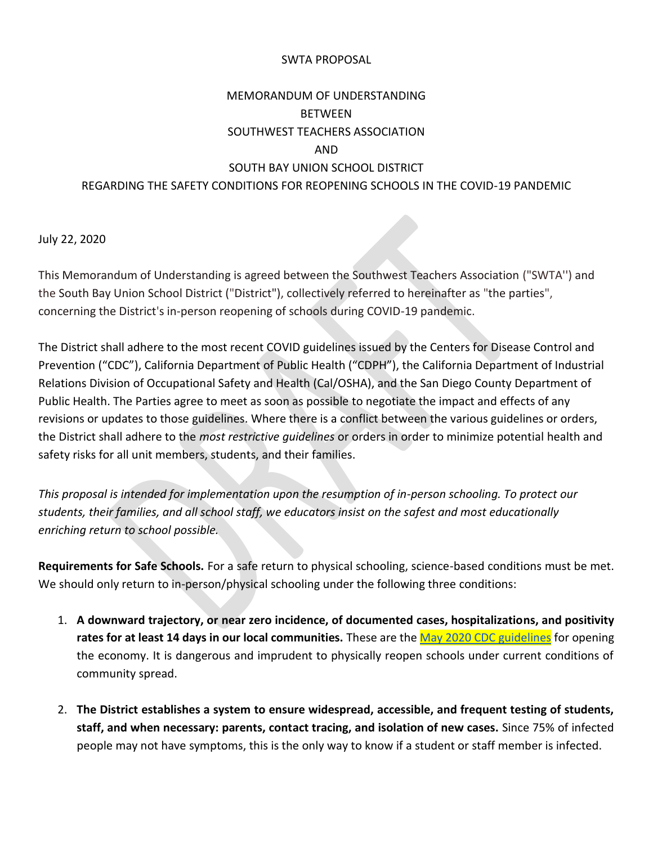## SWTA PROPOSAL

## MEMORANDUM OF UNDERSTANDING BETWEEN SOUTHWEST TEACHERS ASSOCIATION AND SOUTH BAY UNION SCHOOL DISTRICT REGARDING THE SAFETY CONDITIONS FOR REOPENING SCHOOLS IN THE COVID-19 PANDEMIC

July 22, 2020

This Memorandum of Understanding is agreed between the Southwest Teachers Association ("SWTA'') and the South Bay Union School District ("District"), collectively referred to hereinafter as "the parties", concerning the District's in-person reopening of schools during COVID-19 pandemic.

The District shall adhere to the most recent COVID guidelines issued by the Centers for Disease Control and Prevention ("CDC"), California Department of Public Health ("CDPH"), the California Department of Industrial Relations Division of Occupational Safety and Health (Cal/OSHA), and the San Diego County Department of Public Health. The Parties agree to meet as soon as possible to negotiate the impact and effects of any revisions or updates to those guidelines. Where there is a conflict between the various guidelines or orders, the District shall adhere to the *most restrictive guidelines* or orders in order to minimize potential health and safety risks for all unit members, students, and their families.

*This proposal is intended for implementation upon the resumption of in-person schooling. To protect our students, their families, and all school staff, we educators insist on the safest and most educationally enriching return to school possible.* 

**Requirements for Safe Schools.** For a safe return to physical schooling, science-based conditions must be met. We should only return to in-person/physical schooling under the following three conditions:

- 1. **A downward trajectory, or near zero incidence, of documented cases, hospitalizations, and positivity rates for at least 14 days in our local communities.** These are th[e May 2020 CDC guidelines](https://www.cdc.gov/coronavirus/2019-ncov/downloads/php/CDC-Activities-Initiatives-for-COVID-19-Response.pdf) for opening the economy. It is dangerous and imprudent to physically reopen schools under current conditions of community spread.
- 2. **The District establishes a system to ensure widespread, accessible, and frequent testing of students, staff, and when necessary: parents, contact tracing, and isolation of new cases.** Since 75% of infected people may not have symptoms, this is the only way to know if a student or staff member is infected.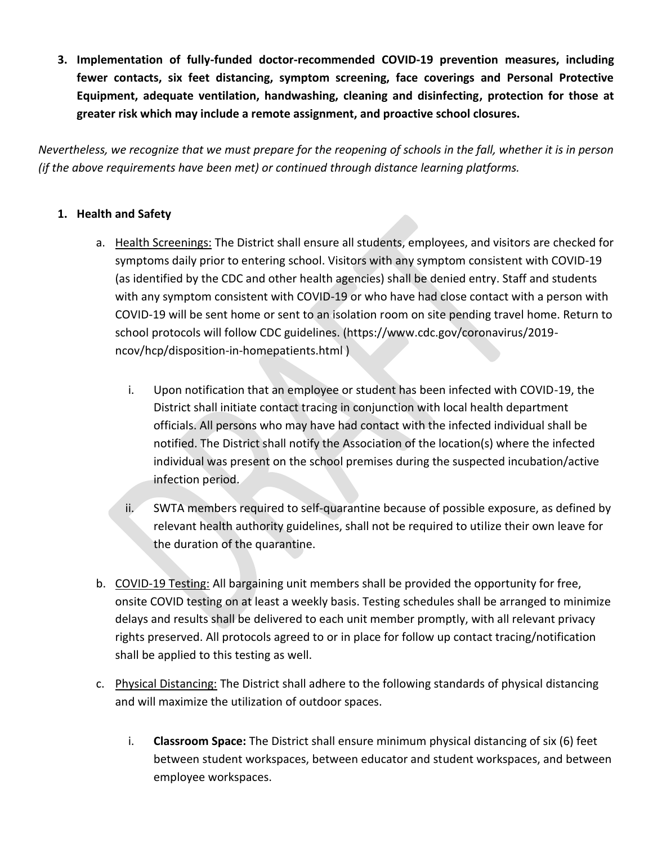**3. Implementation of fully-funded doctor-recommended COVID-19 prevention measures, including fewer contacts, six feet distancing, symptom screening, face coverings and Personal Protective Equipment, adequate ventilation, handwashing, cleaning and disinfecting, protection for those at greater risk which may include a remote assignment, and proactive school closures.** 

*Nevertheless, we recognize that we must prepare for the reopening of schools in the fall, whether it is in person (if the above requirements have been met) or continued through distance learning platforms.* 

## **1. Health and Safety**

- a. Health Screenings: The District shall ensure all students, employees, and visitors are checked for symptoms daily prior to entering school. Visitors with any symptom consistent with COVID-19 (as identified by the CDC and other health agencies) shall be denied entry. Staff and students with any symptom consistent with COVID-19 or who have had close contact with a person with COVID-19 will be sent home or sent to an isolation room on site pending travel home. Return to school protocols will follow CDC guidelines. (https://www.cdc.gov/coronavirus/2019 ncov/hcp/disposition-in-homepatients.html )
	- i. Upon notification that an employee or student has been infected with COVID-19, the District shall initiate contact tracing in conjunction with local health department officials. All persons who may have had contact with the infected individual shall be notified. The District shall notify the Association of the location(s) where the infected individual was present on the school premises during the suspected incubation/active infection period.
	- ii. SWTA members required to self-quarantine because of possible exposure, as defined by relevant health authority guidelines, shall not be required to utilize their own leave for the duration of the quarantine.
- b. COVID-19 Testing: All bargaining unit members shall be provided the opportunity for free, onsite COVID testing on at least a weekly basis. Testing schedules shall be arranged to minimize delays and results shall be delivered to each unit member promptly, with all relevant privacy rights preserved. All protocols agreed to or in place for follow up contact tracing/notification shall be applied to this testing as well.
- c. Physical Distancing: The District shall adhere to the following standards of physical distancing and will maximize the utilization of outdoor spaces.
	- i. **Classroom Space:** The District shall ensure minimum physical distancing of six (6) feet between student workspaces, between educator and student workspaces, and between employee workspaces.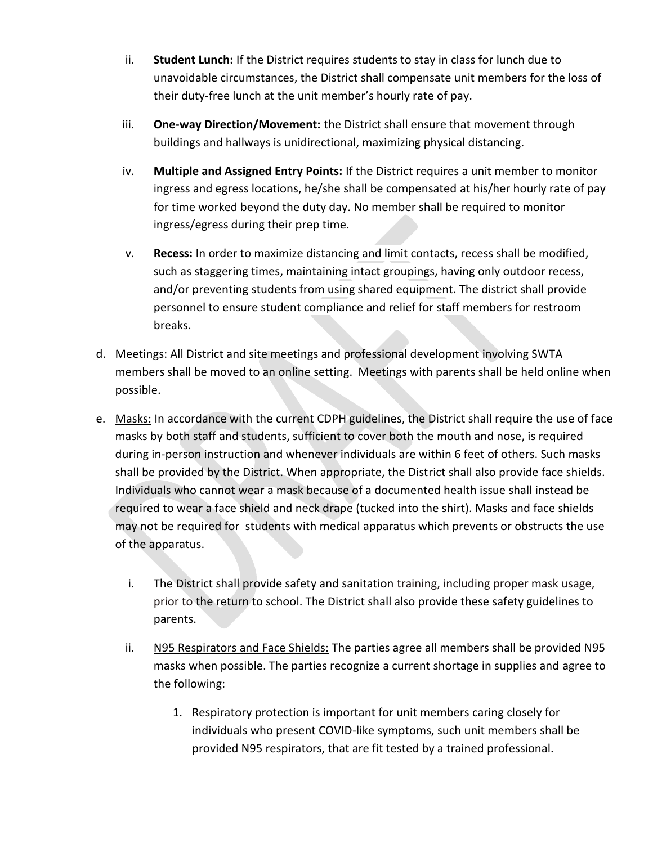- ii. **Student Lunch:** If the District requires students to stay in class for lunch due to unavoidable circumstances, the District shall compensate unit members for the loss of their duty-free lunch at the unit member's hourly rate of pay.
- iii. **One-way Direction/Movement:** the District shall ensure that movement through buildings and hallways is unidirectional, maximizing physical distancing.
- iv. **Multiple and Assigned Entry Points:** If the District requires a unit member to monitor ingress and egress locations, he/she shall be compensated at his/her hourly rate of pay for time worked beyond the duty day. No member shall be required to monitor ingress/egress during their prep time.
- v. **Recess:** In order to maximize distancing and limit contacts, recess shall be modified, such as staggering times, maintaining intact groupings, having only outdoor recess, and/or preventing students from using shared equipment. The district shall provide personnel to ensure student compliance and relief for staff members for restroom breaks.
- d. Meetings: All District and site meetings and professional development involving SWTA members shall be moved to an online setting. Meetings with parents shall be held online when possible.
- e. Masks: In accordance with the current CDPH guidelines, the District shall require the use of face masks by both staff and students, sufficient to cover both the mouth and nose, is required during in-person instruction and whenever individuals are within 6 feet of others. Such masks shall be provided by the District. When appropriate, the District shall also provide face shields. Individuals who cannot wear a mask because of a documented health issue shall instead be required to wear a face shield and neck drape (tucked into the shirt). Masks and face shields may not be required for students with medical apparatus which prevents or obstructs the use of the apparatus.
	- i. The District shall provide safety and sanitation training, including proper mask usage, prior to the return to school. The District shall also provide these safety guidelines to parents.
	- ii. N95 Respirators and Face Shields: The parties agree all members shall be provided N95 masks when possible. The parties recognize a current shortage in supplies and agree to the following:
		- 1. Respiratory protection is important for unit members caring closely for individuals who present COVID-like symptoms, such unit members shall be provided N95 respirators, that are fit tested by a trained professional.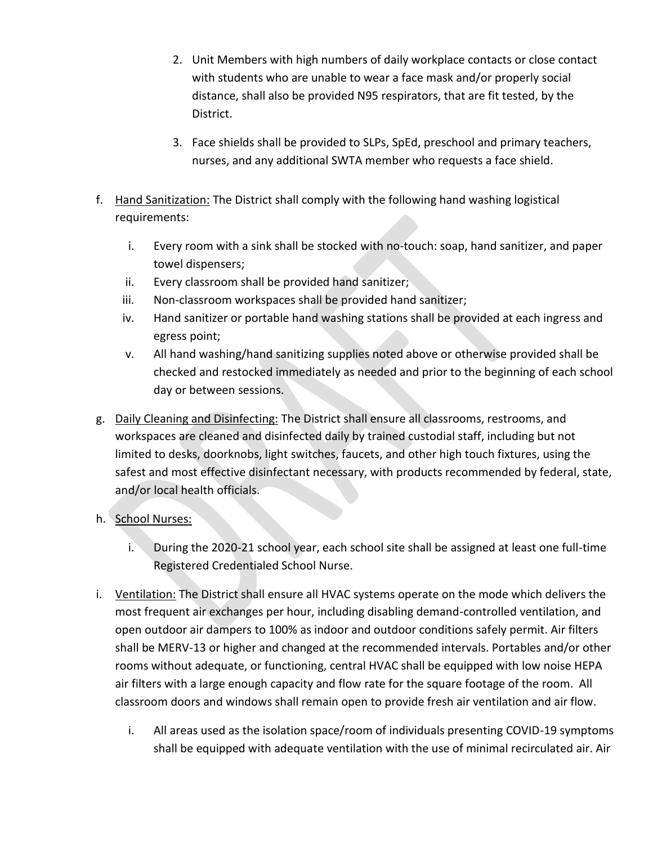- 2. Unit Members with high numbers of daily workplace contacts or close contact with students who are unable to wear a face mask and/or properly social distance, shall also be provided N95 respirators, that are fit tested, by the District.
- 3. Face shields shall be provided to SLPs, SpEd, preschool and primary teachers, nurses, and any additional SWTA member who requests a face shield.
- f. Hand Sanitization: The District shall comply with the following hand washing logistical requirements:
	- i. Every room with a sink shall be stocked with no-touch: soap, hand sanitizer, and paper towel dispensers;
	- ii. Every classroom shall be provided hand sanitizer;
	- iii. Non-classroom workspaces shall be provided hand sanitizer;
	- iv. Hand sanitizer or portable hand washing stations shall be provided at each ingress and egress point;
	- v. All hand washing/hand sanitizing supplies noted above or otherwise provided shall be checked and restocked immediately as needed and prior to the beginning of each school day or between sessions.
- g. Daily Cleaning and Disinfecting: The District shall ensure all classrooms, restrooms, and workspaces are cleaned and disinfected daily by trained custodial staff, including but not limited to desks, doorknobs, light switches, faucets, and other high touch fixtures, using the safest and most effective disinfectant necessary, with products recommended by federal, state, and/or local health officials.
- h. School Nurses:
	- i. During the 2020-21 school year, each school site shall be assigned at least one full-time Registered Credentialed School Nurse.
- i. Ventilation: The District shall ensure all HVAC systems operate on the mode which delivers the most frequent air exchanges per hour, including disabling demand-controlled ventilation, and open outdoor air dampers to 100% as indoor and outdoor conditions safely permit. Air filters shall be MERV-13 or higher and changed at the recommended intervals. Portables and/or other rooms without adequate, or functioning, central HVAC shall be equipped with low noise HEPA air filters with a large enough capacity and flow rate for the square footage of the room. All classroom doors and windows shall remain open to provide fresh air ventilation and air flow.
	- i. All areas used as the isolation space/room of individuals presenting COVID-19 symptoms shall be equipped with adequate ventilation with the use of minimal recirculated air. Air